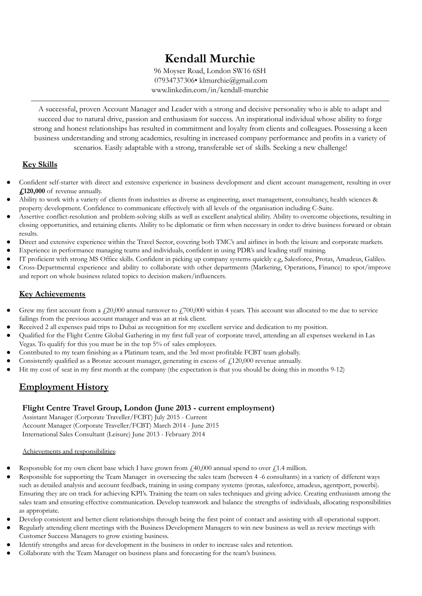# **Kendall Murchie**

96 Moyser Road, London SW16 6SH 07934737306• klmurchie@gmail.com www.linkedin.com/in/kendall-murchie

A successful, proven Account Manager and Leader with a strong and decisive personality who is able to adapt and succeed due to natural drive, passion and enthusiasm for success. An inspirational individual whose ability to forge strong and honest relationships has resulted in commitment and loyalty from clients and colleagues. Possessing a keen business understanding and strong academics, resulting in increased company performance and profits in a variety of scenarios. Easily adaptable with a strong, transferable set of skills. Seeking a new challenge!

# **Key Skills**

- Confident self-starter with direct and extensive experience in business development and client account management, resulting in over **£120,000** of revenue annually.
- Ability to work with a variety of clients from industries as diverse as engineering, asset management, consultancy, health sciences & property development. Confidence to communicate effectively with all levels of the organisation including C-Suite.
- Assertive conflict-resolution and problem-solving skills as well as excellent analytical ability. Ability to overcome objections, resulting in closing opportunities, and retaining clients. Ability to be diplomatic or firm when necessary in order to drive business forward or obtain results.
- Direct and extensive experience within the Travel Sector, covering both TMC's and airlines in both the leisure and corporate markets.
- Experience in performance managing teams and individuals, confident in using PDR's and leading staff training.
- IT proficient with strong MS Office skills. Confident in picking up company systems quickly e.g, Salesforce, Protas, Amadeus, Galileo.
- Cross-Departmental experience and ability to collaborate with other departments (Marketing, Operations, Finance) to spot/improve and report on whole business related topics to decision makers/influencers.

# **Key Achievements**

- Grew my first account from a  $\ell$ 20,000 annual turnover to  $\ell$ 700,000 within 4 years. This account was allocated to me due to service failings from the previous account manager and was an at risk client.
- Received 2 all expenses paid trips to Dubai as recognition for my excellent service and dedication to my position.
- Qualified for the Flight Centre Global Gathering in my first full year of corporate travel, attending an all expenses weekend in Las Vegas. To qualify for this you must be in the top 5% of sales employees.
- Contributed to my team finishing as a Platinum team, and the 3rd most profitable FCBT team globally.
- Consistently qualified as a Bronze account manager, generating in excess of  $\neq$  120,000 revenue annually.
- Hit my cost of seat in my first month at the company (the expectation is that you should be doing this in months 9-12)

# **Employment History**

#### **Flight Centre Travel Group, London (June 2013 - current employment)**

Assistant Manager (Corporate Traveller/FCBT) July 2015 - Current Account Manager (Corporate Traveller/FCBT) March 2014 - June 2015 International Sales Consultant (Leisure) June 2013 - February 2014

#### Achievements and responsibilities:

- Responsible for my own client base which I have grown from  $\ell$  40,000 annual spend to over  $\ell$ 1.4 million.
- Responsible for supporting the Team Manager in overseeing the sales team (between 4 -6 consultants) in a variety of different ways such as detailed analysis and account feedback, training in using company systems (protas, salesforce, amadeus, agentport, powerbi). Ensuring they are on track for achieving KPI's. Training the team on sales techniques and giving advice. Creating enthusiasm among the sales team and ensuring effective communication. Develop teamwork and balance the strengths of individuals, allocating responsibilities as appropriate.
- Develop consistent and better client relationships through being the first point of contact and assisting with all operational support.
- Regularly attending client meetings with the Business Development Managers to win new business as well as review meetings with Customer Success Managers to grow existing business.
- Identify strengths and areas for development in the business in order to increase sales and retention.
- Collaborate with the Team Manager on business plans and forecasting for the team's business.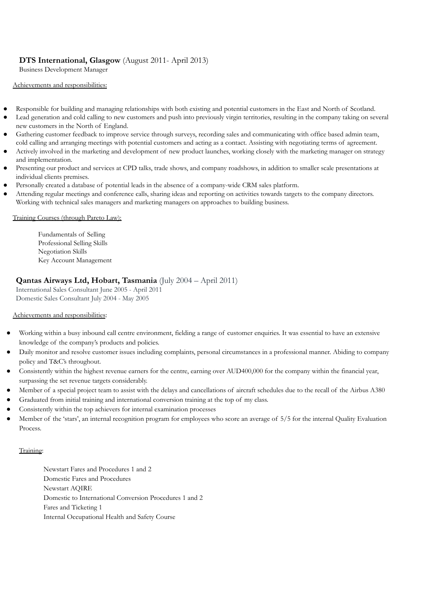# **DTS International, Glasgow** (August 2011- April 2013)

Business Development Manager

#### Achievements and responsibilities:

- Responsible for building and managing relationships with both existing and potential customers in the East and North of Scotland.
- Lead generation and cold calling to new customers and push into previously virgin territories, resulting in the company taking on several new customers in the North of England.
- Gathering customer feedback to improve service through surveys, recording sales and communicating with office based admin team, cold calling and arranging meetings with potential customers and acting as a contact. Assisting with negotiating terms of agreement.
- Actively involved in the marketing and development of new product launches, working closely with the marketing manager on strategy and implementation.
- Presenting our product and services at CPD talks, trade shows, and company roadshows, in addition to smaller scale presentations at individual clients premises.
- Personally created a database of potential leads in the absence of a company-wide CRM sales platform.
- Attending regular meetings and conference calls, sharing ideas and reporting on activities towards targets to the company directors. Working with technical sales managers and marketing managers on approaches to building business.

#### Training Courses (through Pareto Law):

Fundamentals of Selling Professional Selling Skills Negotiation Skills Key Account Management

#### **Qantas Airways Ltd, Hobart, Tasmania** (July 2004 – April 2011)

International Sales Consultant June 2005 - April 2011 Domestic Sales Consultant July 2004 - May 2005

#### Achievements and responsibilities:

- Working within a busy inbound call centre environment, fielding a range of customer enquiries. It was essential to have an extensive knowledge of the company's products and policies.
- Daily monitor and resolve customer issues including complaints, personal circumstances in a professional manner. Abiding to company policy and T&C's throughout.
- Consistently within the highest revenue earners for the centre, earning over AUD400,000 for the company within the financial year, surpassing the set revenue targets considerably.
- Member of a special project team to assist with the delays and cancellations of aircraft schedules due to the recall of the Airbus A380
- Graduated from initial training and international conversion training at the top of my class.
- Consistently within the top achievers for internal examination processes
- Member of the 'stars', an internal recognition program for employees who score an average of 5/5 for the internal Quality Evaluation Process.

#### Training:

Newstart Fares and Procedures 1 and 2 Domestic Fares and Procedures Newstart AQIRE Domestic to International Conversion Procedures 1 and 2 Fares and Ticketing 1

Internal Occupational Health and Safety Course